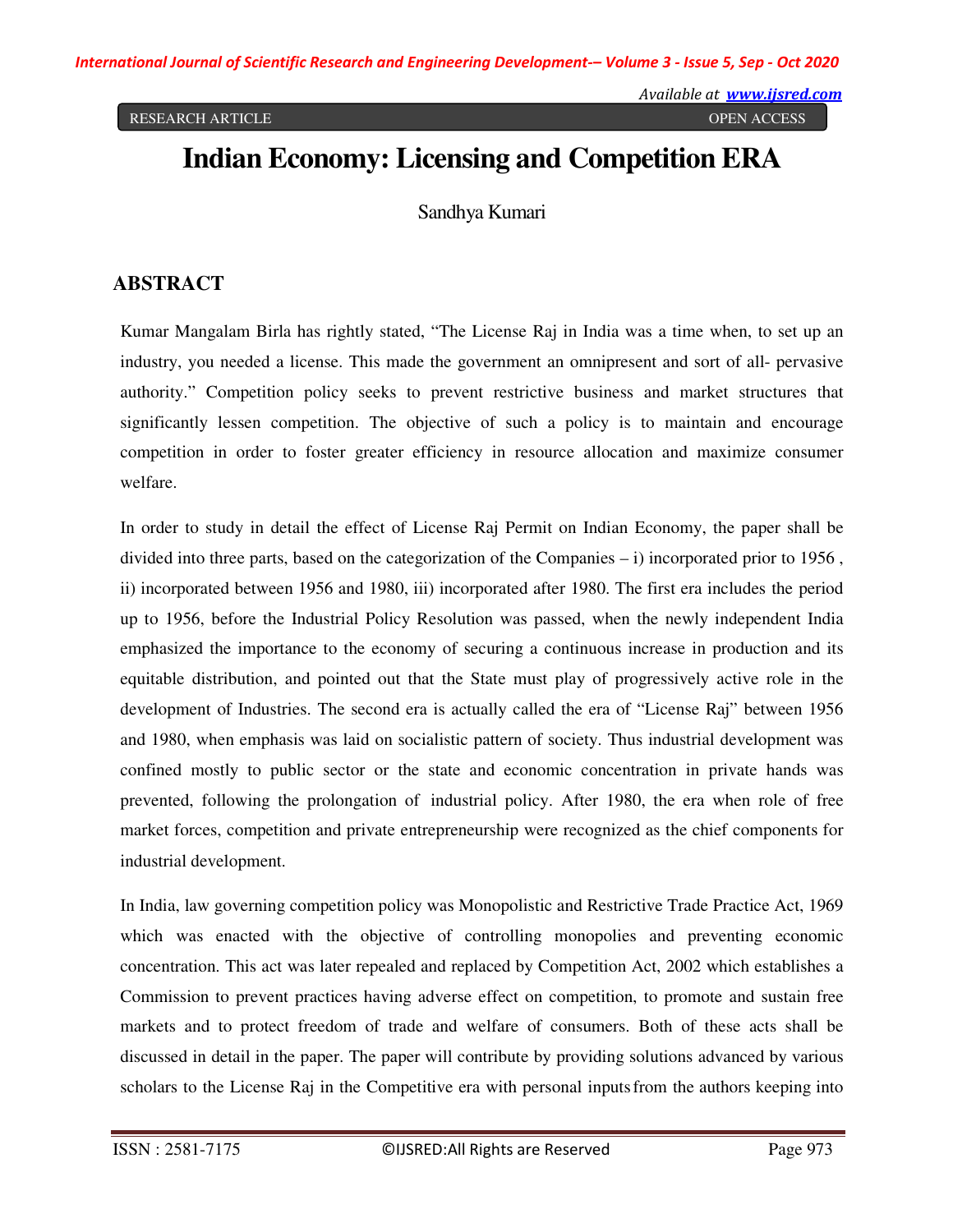# **Indian Economy: Licensing and Competition ERA**

Sandhya Kumari

### **ABSTRACT**

Kumar Mangalam Birla has rightly stated, "The License Raj in India was a time when, to set up an industry, you needed a license. This made the government an omnipresent and sort of all- pervasive authority." Competition policy seeks to prevent restrictive business and market structures that significantly lessen competition. The objective of such a policy is to maintain and encourage competition in order to foster greater efficiency in resource allocation and maximize consumer welfare.

In order to study in detail the effect of License Raj Permit on Indian Economy, the paper shall be divided into three parts, based on the categorization of the Companies  $- i$ ) incorporated prior to 1956, ii) incorporated between 1956 and 1980, iii) incorporated after 1980. The first era includes the period up to 1956, before the Industrial Policy Resolution was passed, when the newly independent India emphasized the importance to the economy of securing a continuous increase in production and its equitable distribution, and pointed out that the State must play of progressively active role in the development of Industries. The second era is actually called the era of "License Raj" between 1956 and 1980, when emphasis was laid on socialistic pattern of society. Thus industrial development was confined mostly to public sector or the state and economic concentration in private hands was prevented, following the prolongation of industrial policy. After 1980, the era when role of free market forces, competition and private entrepreneurship were recognized as the chief components for industrial development.

In India, law governing competition policy was Monopolistic and Restrictive Trade Practice Act, 1969 which was enacted with the objective of controlling monopolies and preventing economic concentration. This act was later repealed and replaced by Competition Act, 2002 which establishes a Commission to prevent practices having adverse effect on competition, to promote and sustain free markets and to protect freedom of trade and welfare of consumers. Both of these acts shall be discussed in detail in the paper. The paper will contribute by providing solutions advanced by various scholars to the License Raj in the Competitive era with personal inputs from the authors keeping into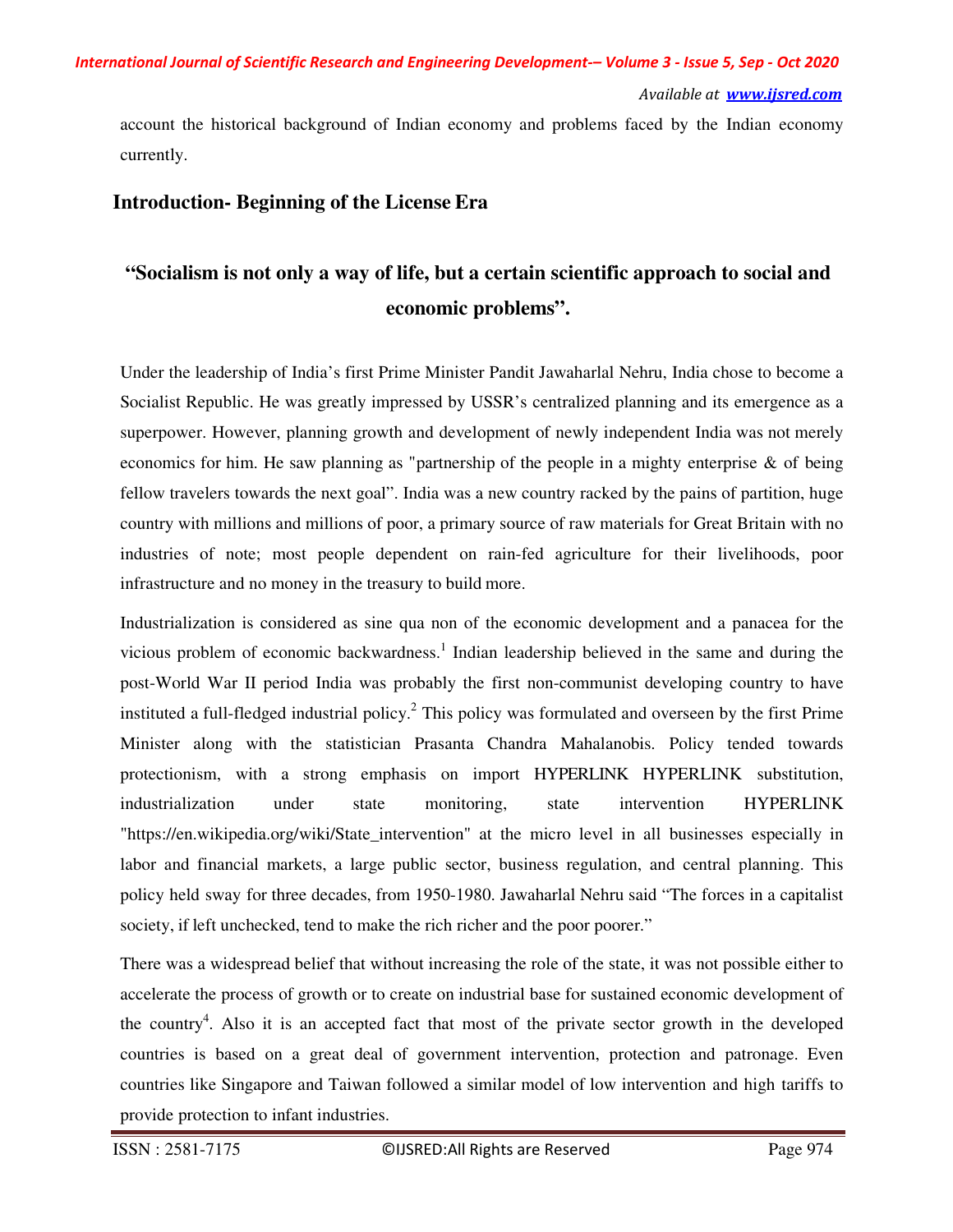#### *Available at www.ijsred.com*

account the historical background of Indian economy and problems faced by the Indian economy currently.

### **Introduction- Beginning of the License Era**

## **"Socialism is not only a way of life, but a certain scientific approach to social and economic problems".**

Under the leadership of India's first Prime Minister Pandit Jawaharlal Nehru, India chose to become a Socialist Republic. He was greatly impressed by USSR's centralized planning and its emergence as a superpower. However, planning growth and development of newly independent India was not merely economics for him. He saw planning as "partnership of the people in a mighty enterprise  $\&$  of being fellow travelers towards the next goal". India was a new country racked by the pains of partition, huge country with millions and millions of poor, a primary source of raw materials for Great Britain with no industries of note; most people dependent on rain-fed agriculture for their livelihoods, poor infrastructure and no money in the treasury to build more.

Industrialization is considered as sine qua non of the economic development and a panacea for the vicious problem of economic backwardness.<sup>1</sup> Indian leadership believed in the same and during the post-World War II period India was probably the first non-communist developing country to have instituted a full-fledged industrial policy.<sup>2</sup> This policy was formulated and overseen by the first Prime Minister along with the statistician Prasanta Chandra Mahalanobis. Policy tended towards protectionism, with a strong emphasis on import HYPERLINK HYPERLINK substitution, industrialization under state monitoring, state intervention HYPERLINK "https://en.wikipedia.org/wiki/State\_intervention" at the micro level in all businesses especially in labor and financial markets, a large public sector, business regulation, and central planning. This policy held sway for three decades, from 1950-1980. Jawaharlal Nehru said "The forces in a capitalist society, if left unchecked, tend to make the rich richer and the poor poorer."

There was a widespread belief that without increasing the role of the state, it was not possible either to accelerate the process of growth or to create on industrial base for sustained economic development of the country<sup>4</sup>. Also it is an accepted fact that most of the private sector growth in the developed countries is based on a great deal of government intervention, protection and patronage. Even countries like Singapore and Taiwan followed a similar model of low intervention and high tariffs to provide protection to infant industries.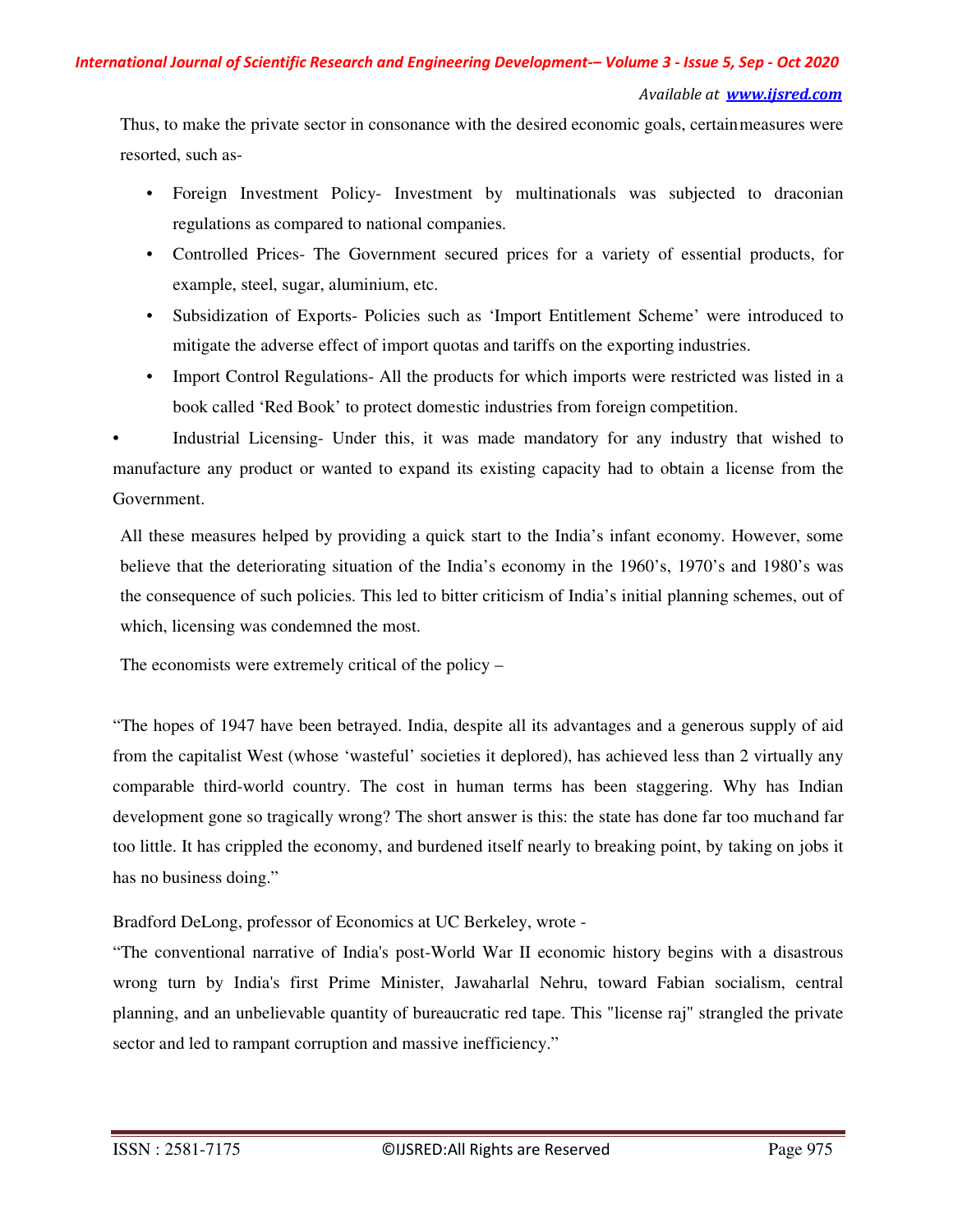#### *Available at www.ijsred.com*

Thus, to make the private sector in consonance with the desired economic goals, certain measures were resorted, such as-

- Foreign Investment Policy-Investment by multinationals was subjected to draconian regulations as compared to national companies.
- Controlled Prices- The Government secured prices for a variety of essential products, for example, steel, sugar, aluminium, etc.
- Subsidization of Exports- Policies such as 'Import Entitlement Scheme' were introduced to mitigate the adverse effect of import quotas and tariffs on the exporting industries.
- Import Control Regulations- All the products for which imports were restricted was listed in a book called 'Red Book' to protect domestic industries from foreign competition.

Industrial Licensing- Under this, it was made mandatory for any industry that wished to manufacture any product or wanted to expand its existing capacity had to obtain a license from the Government.

All these measures helped by providing a quick start to the India's infant economy. However, some believe that the deteriorating situation of the India's economy in the 1960's, 1970's and 1980's was the consequence of such policies. This led to bitter criticism of India's initial planning schemes, out of which, licensing was condemned the most.

The economists were extremely critical of the policy –

"The hopes of 1947 have been betrayed. India, despite all its advantages and a generous supply of aid from the capitalist West (whose 'wasteful' societies it deplored), has achieved less than 2 virtually any comparable third-world country. The cost in human terms has been staggering. Why has Indian development gone so tragically wrong? The short answer is this: the state has done far too much and far too little. It has crippled the economy, and burdened itself nearly to breaking point, by taking on jobs it has no business doing."

Bradford DeLong, professor of Economics at UC Berkeley, wrote -

"The conventional narrative of India's post-World War II economic history begins with a disastrous wrong turn by India's first Prime Minister, Jawaharlal Nehru, toward Fabian socialism, central planning, and an unbelievable quantity of bureaucratic red tape. This "license raj" strangled the private sector and led to rampant corruption and massive inefficiency."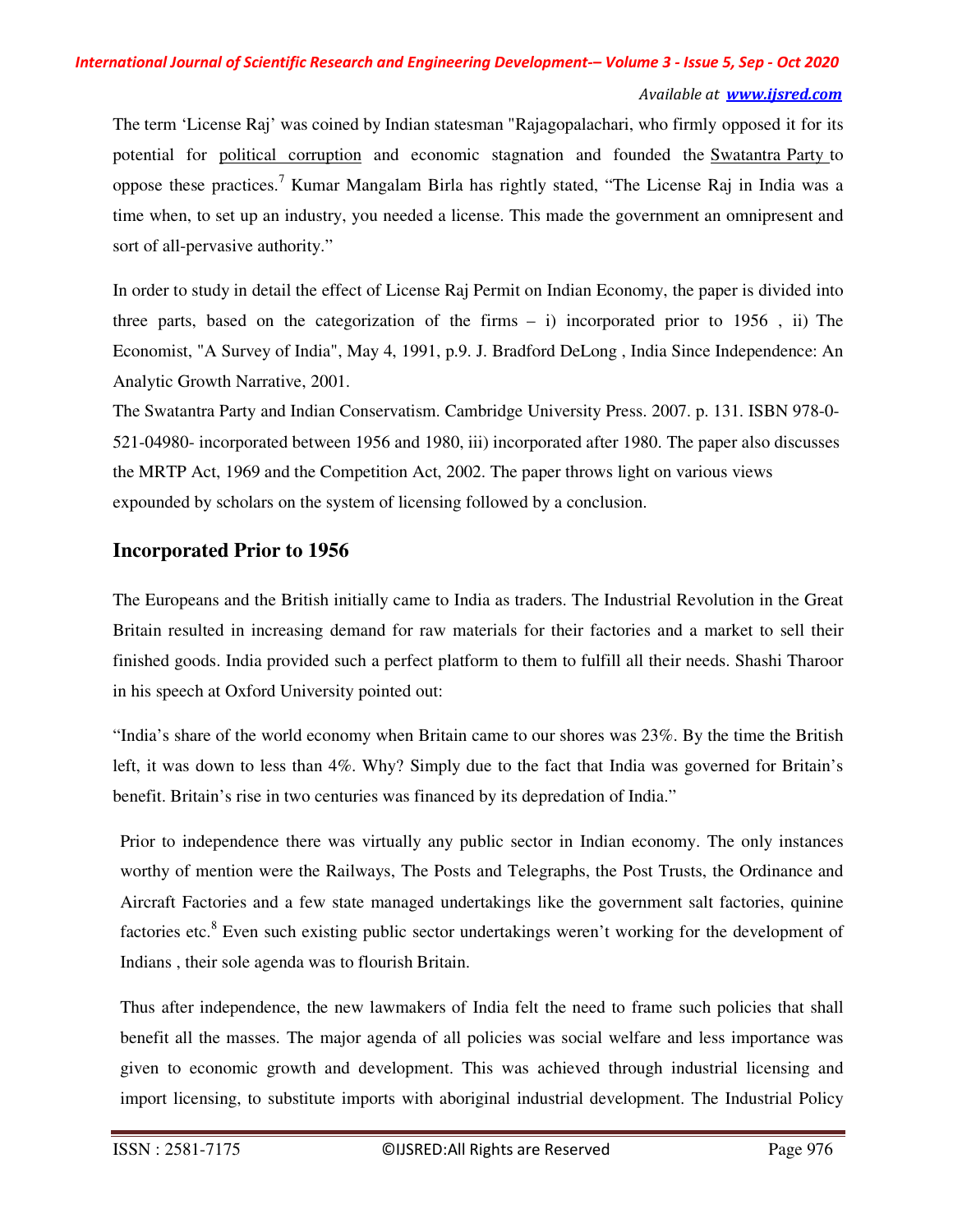#### *Available at www.ijsred.com*

The term 'License Raj' was coined by Indian statesman "Rajagopalachari, who firmly opposed it for its potential for political corruption and economic stagnation and founded the Swatantra Party to oppose these practices.<sup>7</sup> Kumar Mangalam Birla has rightly stated, "The License Raj in India was a time when, to set up an industry, you needed a license. This made the government an omnipresent and sort of all-pervasive authority."

In order to study in detail the effect of License Raj Permit on Indian Economy, the paper is divided into three parts, based on the categorization of the firms  $- i$  is incorporated prior to 1956, ii) The Economist, "A Survey of India", May 4, 1991, p.9. J. Bradford DeLong , India Since Independence: An Analytic Growth Narrative, 2001.

The Swatantra Party and Indian Conservatism. Cambridge University Press. 2007. p. 131. ISBN 978-0- 521-04980- incorporated between 1956 and 1980, iii) incorporated after 1980. The paper also discusses the MRTP Act, 1969 and the Competition Act, 2002. The paper throws light on various views expounded by scholars on the system of licensing followed by a conclusion.

### **Incorporated Prior to 1956**

The Europeans and the British initially came to India as traders. The Industrial Revolution in the Great Britain resulted in increasing demand for raw materials for their factories and a market to sell their finished goods. India provided such a perfect platform to them to fulfill all their needs. Shashi Tharoor in his speech at Oxford University pointed out:

"India's share of the world economy when Britain came to our shores was 23%. By the time the British left, it was down to less than 4%. Why? Simply due to the fact that India was governed for Britain's benefit. Britain's rise in two centuries was financed by its depredation of India."

Prior to independence there was virtually any public sector in Indian economy. The only instances worthy of mention were the Railways, The Posts and Telegraphs, the Post Trusts, the Ordinance and Aircraft Factories and a few state managed undertakings like the government salt factories, quinine factories etc.<sup>8</sup> Even such existing public sector undertakings weren't working for the development of Indians , their sole agenda was to flourish Britain.

Thus after independence, the new lawmakers of India felt the need to frame such policies that shall benefit all the masses. The major agenda of all policies was social welfare and less importance was given to economic growth and development. This was achieved through industrial licensing and import licensing, to substitute imports with aboriginal industrial development. The Industrial Policy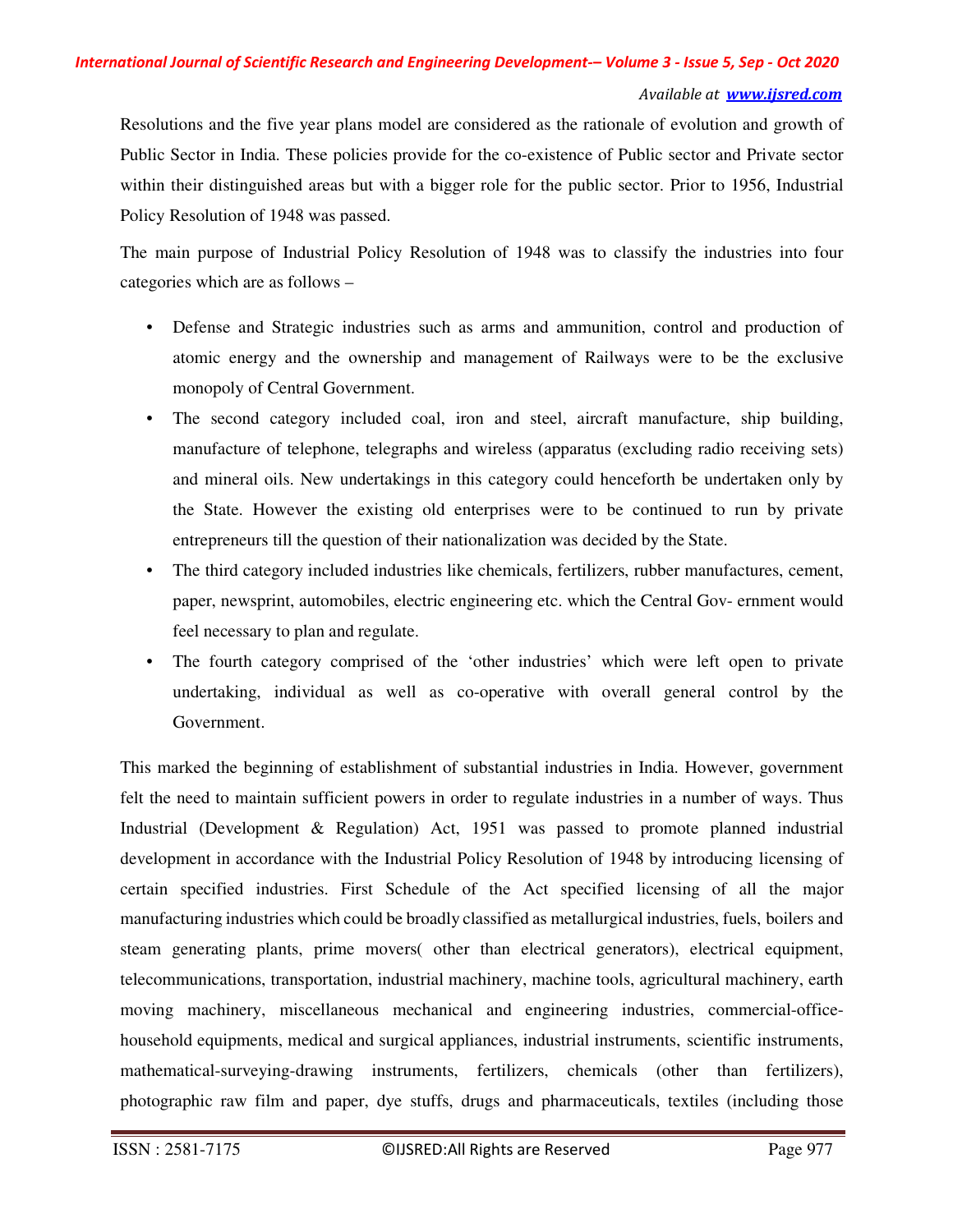Resolutions and the five year plans model are considered as the rationale of evolution and growth of Public Sector in India. These policies provide for the co-existence of Public sector and Private sector within their distinguished areas but with a bigger role for the public sector. Prior to 1956, Industrial Policy Resolution of 1948 was passed.

The main purpose of Industrial Policy Resolution of 1948 was to classify the industries into four categories which are as follows –

- Defense and Strategic industries such as arms and ammunition, control and production of atomic energy and the ownership and management of Railways were to be the exclusive monopoly of Central Government.
- The second category included coal, iron and steel, aircraft manufacture, ship building, manufacture of telephone, telegraphs and wireless (apparatus (excluding radio receiving sets) and mineral oils. New undertakings in this category could henceforth be undertaken only by the State. However the existing old enterprises were to be continued to run by private entrepreneurs till the question of their nationalization was decided by the State.
- The third category included industries like chemicals, fertilizers, rubber manufactures, cement, paper, newsprint, automobiles, electric engineering etc. which the Central Gov- ernment would feel necessary to plan and regulate.
- The fourth category comprised of the 'other industries' which were left open to private undertaking, individual as well as co-operative with overall general control by the Government.

This marked the beginning of establishment of substantial industries in India. However, government felt the need to maintain sufficient powers in order to regulate industries in a number of ways. Thus Industrial (Development & Regulation) Act, 1951 was passed to promote planned industrial development in accordance with the Industrial Policy Resolution of 1948 by introducing licensing of certain specified industries. First Schedule of the Act specified licensing of all the major manufacturing industries which could be broadly classified as metallurgical industries, fuels, boilers and steam generating plants, prime movers( other than electrical generators), electrical equipment, telecommunications, transportation, industrial machinery, machine tools, agricultural machinery, earth moving machinery, miscellaneous mechanical and engineering industries, commercial-officehousehold equipments, medical and surgical appliances, industrial instruments, scientific instruments, mathematical-surveying-drawing instruments, fertilizers, chemicals (other than fertilizers), photographic raw film and paper, dye stuffs, drugs and pharmaceuticals, textiles (including those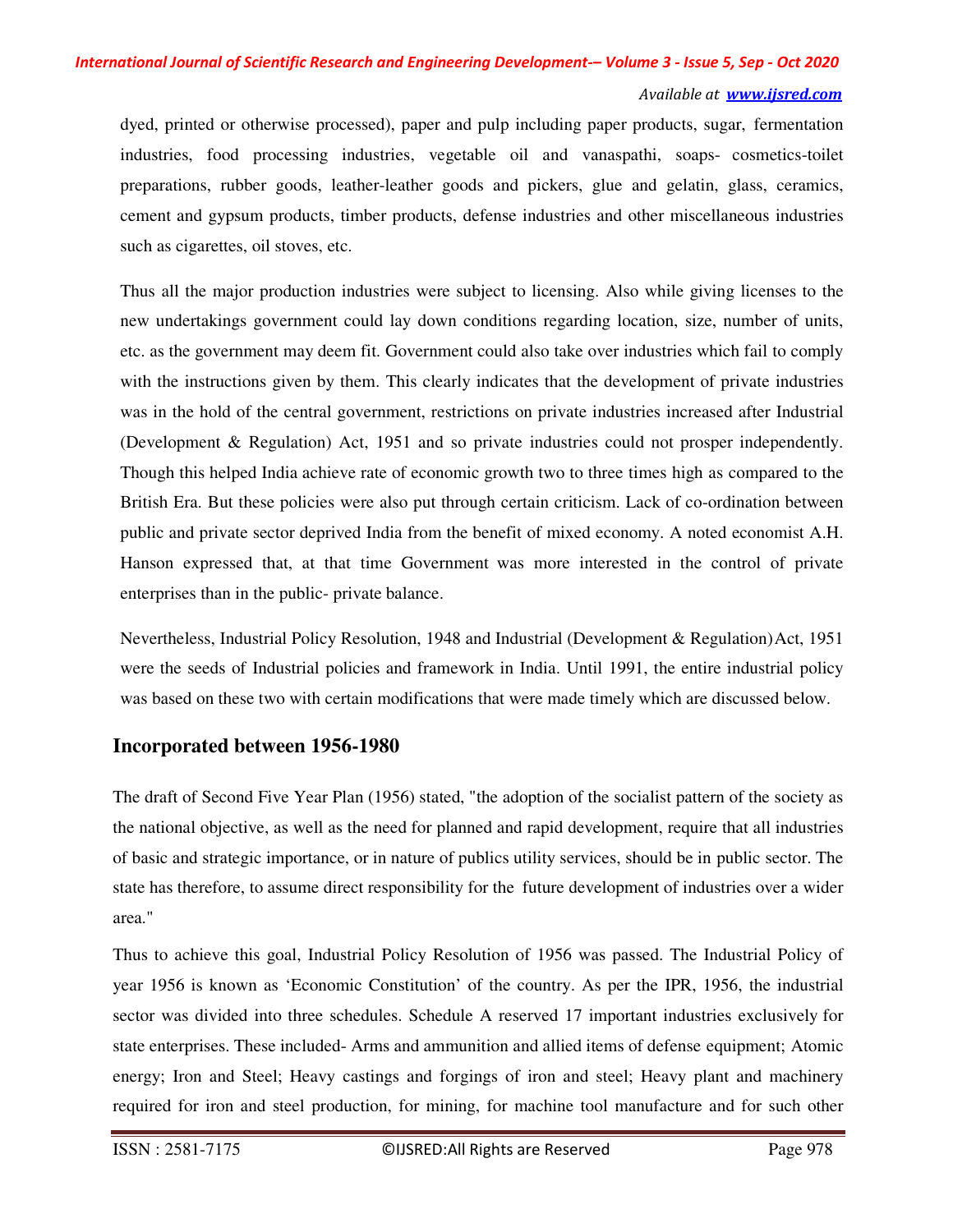dyed, printed or otherwise processed), paper and pulp including paper products, sugar, fermentation industries, food processing industries, vegetable oil and vanaspathi, soaps- cosmetics-toilet preparations, rubber goods, leather-leather goods and pickers, glue and gelatin, glass, ceramics, cement and gypsum products, timber products, defense industries and other miscellaneous industries such as cigarettes, oil stoves, etc.

Thus all the major production industries were subject to licensing. Also while giving licenses to the new undertakings government could lay down conditions regarding location, size, number of units, etc. as the government may deem fit. Government could also take over industries which fail to comply with the instructions given by them. This clearly indicates that the development of private industries was in the hold of the central government, restrictions on private industries increased after Industrial (Development & Regulation) Act, 1951 and so private industries could not prosper independently. Though this helped India achieve rate of economic growth two to three times high as compared to the British Era. But these policies were also put through certain criticism. Lack of co-ordination between public and private sector deprived India from the benefit of mixed economy. A noted economist A.H. Hanson expressed that, at that time Government was more interested in the control of private enterprises than in the public- private balance.

Nevertheless, Industrial Policy Resolution, 1948 and Industrial (Development & Regulation) Act, 1951 were the seeds of Industrial policies and framework in India. Until 1991, the entire industrial policy was based on these two with certain modifications that were made timely which are discussed below.

### **Incorporated between 1956-1980**

The draft of Second Five Year Plan (1956) stated, "the adoption of the socialist pattern of the society as the national objective, as well as the need for planned and rapid development, require that all industries of basic and strategic importance, or in nature of publics utility services, should be in public sector. The state has therefore, to assume direct responsibility for the future development of industries over a wider area."

Thus to achieve this goal, Industrial Policy Resolution of 1956 was passed. The Industrial Policy of year 1956 is known as 'Economic Constitution' of the country. As per the IPR, 1956, the industrial sector was divided into three schedules. Schedule A reserved 17 important industries exclusively for state enterprises. These included- Arms and ammunition and allied items of defense equipment; Atomic energy; Iron and Steel; Heavy castings and forgings of iron and steel; Heavy plant and machinery required for iron and steel production, for mining, for machine tool manufacture and for such other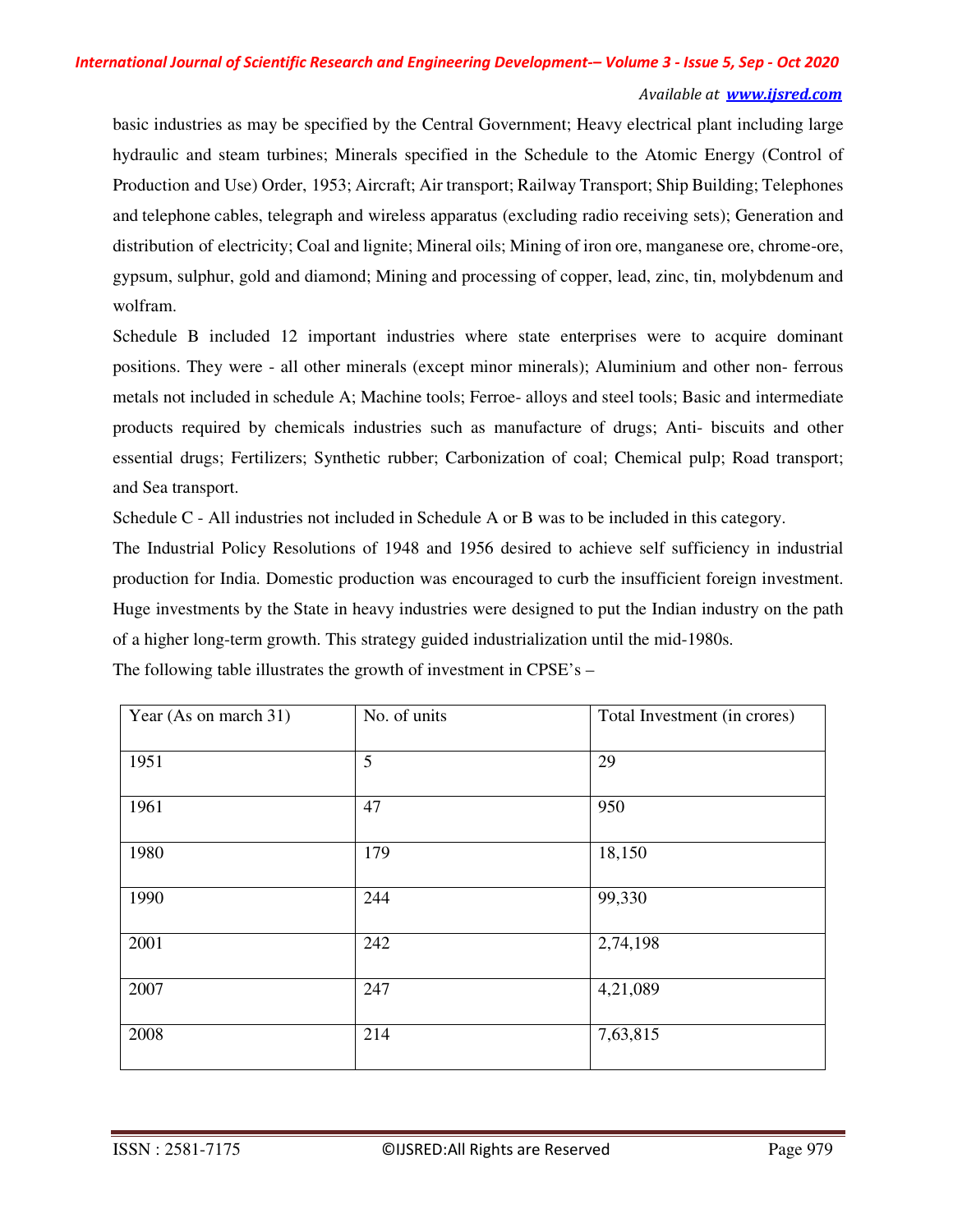#### *Available at www.ijsred.com*

basic industries as may be specified by the Central Government; Heavy electrical plant including large hydraulic and steam turbines; Minerals specified in the Schedule to the Atomic Energy (Control of Production and Use) Order, 1953; Aircraft; Air transport; Railway Transport; Ship Building; Telephones and telephone cables, telegraph and wireless apparatus (excluding radio receiving sets); Generation and distribution of electricity; Coal and lignite; Mineral oils; Mining of iron ore, manganese ore, chrome-ore, gypsum, sulphur, gold and diamond; Mining and processing of copper, lead, zinc, tin, molybdenum and wolfram.

Schedule B included 12 important industries where state enterprises were to acquire dominant positions. They were - all other minerals (except minor minerals); Aluminium and other non- ferrous metals not included in schedule A; Machine tools; Ferroe- alloys and steel tools; Basic and intermediate products required by chemicals industries such as manufacture of drugs; Anti- biscuits and other essential drugs; Fertilizers; Synthetic rubber; Carbonization of coal; Chemical pulp; Road transport; and Sea transport.

Schedule C - All industries not included in Schedule A or B was to be included in this category.

The Industrial Policy Resolutions of 1948 and 1956 desired to achieve self sufficiency in industrial production for India. Domestic production was encouraged to curb the insufficient foreign investment. Huge investments by the State in heavy industries were designed to put the Indian industry on the path of a higher long-term growth. This strategy guided industrialization until the mid-1980s.

| Year (As on march 31) | No. of units | Total Investment (in crores) |
|-----------------------|--------------|------------------------------|
| 1951                  | 5            | 29                           |
| 1961                  | 47           | 950                          |
| 1980                  | 179          | 18,150                       |
| 1990                  | 244          | 99,330                       |
| 2001                  | 242          | 2,74,198                     |
| 2007                  | 247          | 4,21,089                     |
| 2008                  | 214          | 7,63,815                     |

The following table illustrates the growth of investment in CPSE's –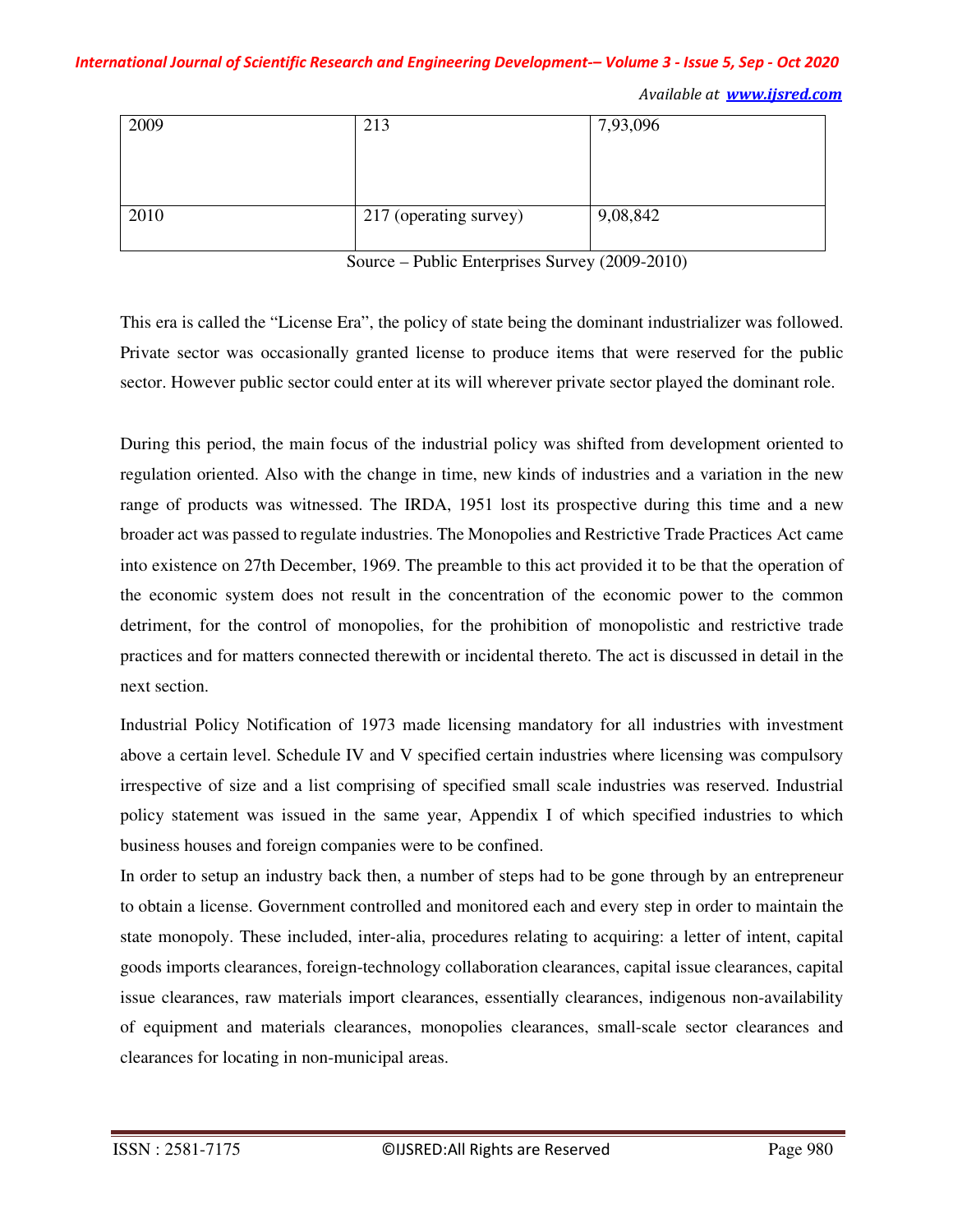*International Journal of Scientific Research and Engineering Development-– Volume 3 - Issue 5, Sep - Oct 2020 Available at www.ijsred.com*

| 2009 | 213                    | 7,93,096 |
|------|------------------------|----------|
|      |                        |          |
|      |                        |          |
|      |                        |          |
| 2010 | 217 (operating survey) | 9,08,842 |
|      |                        |          |

Source – Public Enterprises Survey (2009-2010)

This era is called the "License Era", the policy of state being the dominant industrializer was followed. Private sector was occasionally granted license to produce items that were reserved for the public sector. However public sector could enter at its will wherever private sector played the dominant role.

During this period, the main focus of the industrial policy was shifted from development oriented to regulation oriented. Also with the change in time, new kinds of industries and a variation in the new range of products was witnessed. The IRDA, 1951 lost its prospective during this time and a new broader act was passed to regulate industries. The Monopolies and Restrictive Trade Practices Act came into existence on 27th December, 1969. The preamble to this act provided it to be that the operation of the economic system does not result in the concentration of the economic power to the common detriment, for the control of monopolies, for the prohibition of monopolistic and restrictive trade practices and for matters connected therewith or incidental thereto. The act is discussed in detail in the next section.

Industrial Policy Notification of 1973 made licensing mandatory for all industries with investment above a certain level. Schedule IV and V specified certain industries where licensing was compulsory irrespective of size and a list comprising of specified small scale industries was reserved. Industrial policy statement was issued in the same year, Appendix I of which specified industries to which business houses and foreign companies were to be confined.

In order to setup an industry back then, a number of steps had to be gone through by an entrepreneur to obtain a license. Government controlled and monitored each and every step in order to maintain the state monopoly. These included, inter-alia, procedures relating to acquiring: a letter of intent, capital goods imports clearances, foreign-technology collaboration clearances, capital issue clearances, capital issue clearances, raw materials import clearances, essentially clearances, indigenous non-availability of equipment and materials clearances, monopolies clearances, small-scale sector clearances and clearances for locating in non-municipal areas.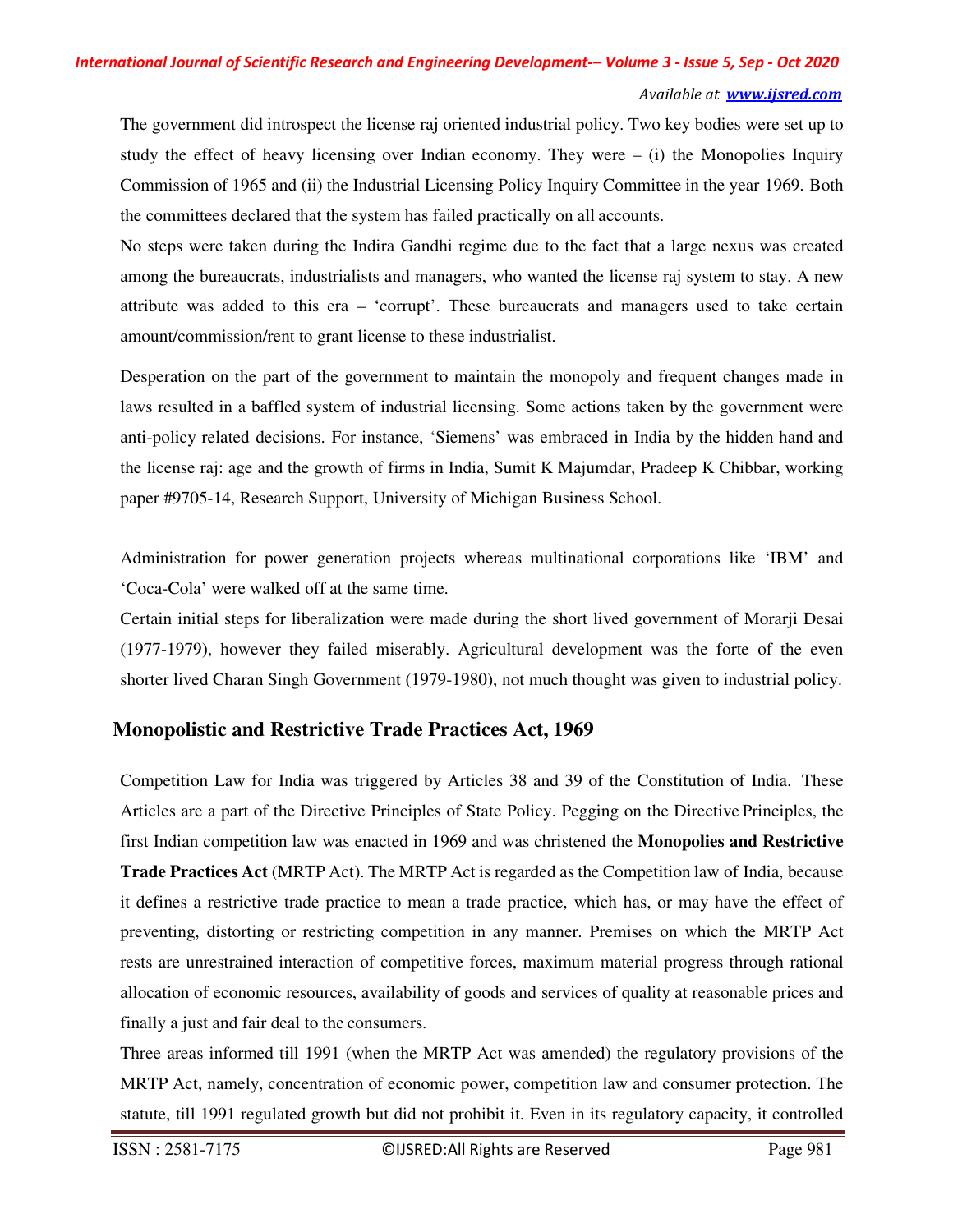#### *Available at www.ijsred.com*

The government did introspect the license raj oriented industrial policy. Two key bodies were set up to study the effect of heavy licensing over Indian economy. They were  $-$  (i) the Monopolies Inquiry Commission of 1965 and (ii) the Industrial Licensing Policy Inquiry Committee in the year 1969. Both the committees declared that the system has failed practically on all accounts.

No steps were taken during the Indira Gandhi regime due to the fact that a large nexus was created among the bureaucrats, industrialists and managers, who wanted the license raj system to stay. A new attribute was added to this era – 'corrupt'. These bureaucrats and managers used to take certain amount/commission/rent to grant license to these industrialist.

Desperation on the part of the government to maintain the monopoly and frequent changes made in laws resulted in a baffled system of industrial licensing. Some actions taken by the government were anti-policy related decisions. For instance, 'Siemens' was embraced in India by the hidden hand and the license raj: age and the growth of firms in India, Sumit K Majumdar, Pradeep K Chibbar, working paper #9705-14, Research Support, University of Michigan Business School.

Administration for power generation projects whereas multinational corporations like 'IBM' and 'Coca-Cola' were walked off at the same time.

Certain initial steps for liberalization were made during the short lived government of Morarji Desai (1977-1979), however they failed miserably. Agricultural development was the forte of the even shorter lived Charan Singh Government (1979-1980), not much thought was given to industrial policy.

### **Monopolistic and Restrictive Trade Practices Act, 1969**

Competition Law for India was triggered by Articles 38 and 39 of the Constitution of India. These Articles are a part of the Directive Principles of State Policy. Pegging on the Directive Principles, the first Indian competition law was enacted in 1969 and was christened the **Monopolies and Restrictive Trade Practices Act** (MRTP Act). The MRTP Act is regarded as the Competition law of India, because it defines a restrictive trade practice to mean a trade practice, which has, or may have the effect of preventing, distorting or restricting competition in any manner. Premises on which the MRTP Act rests are unrestrained interaction of competitive forces, maximum material progress through rational allocation of economic resources, availability of goods and services of quality at reasonable prices and finally a just and fair deal to the consumers.

Three areas informed till 1991 (when the MRTP Act was amended) the regulatory provisions of the MRTP Act, namely, concentration of economic power, competition law and consumer protection. The statute, till 1991 regulated growth but did not prohibit it. Even in its regulatory capacity, it controlled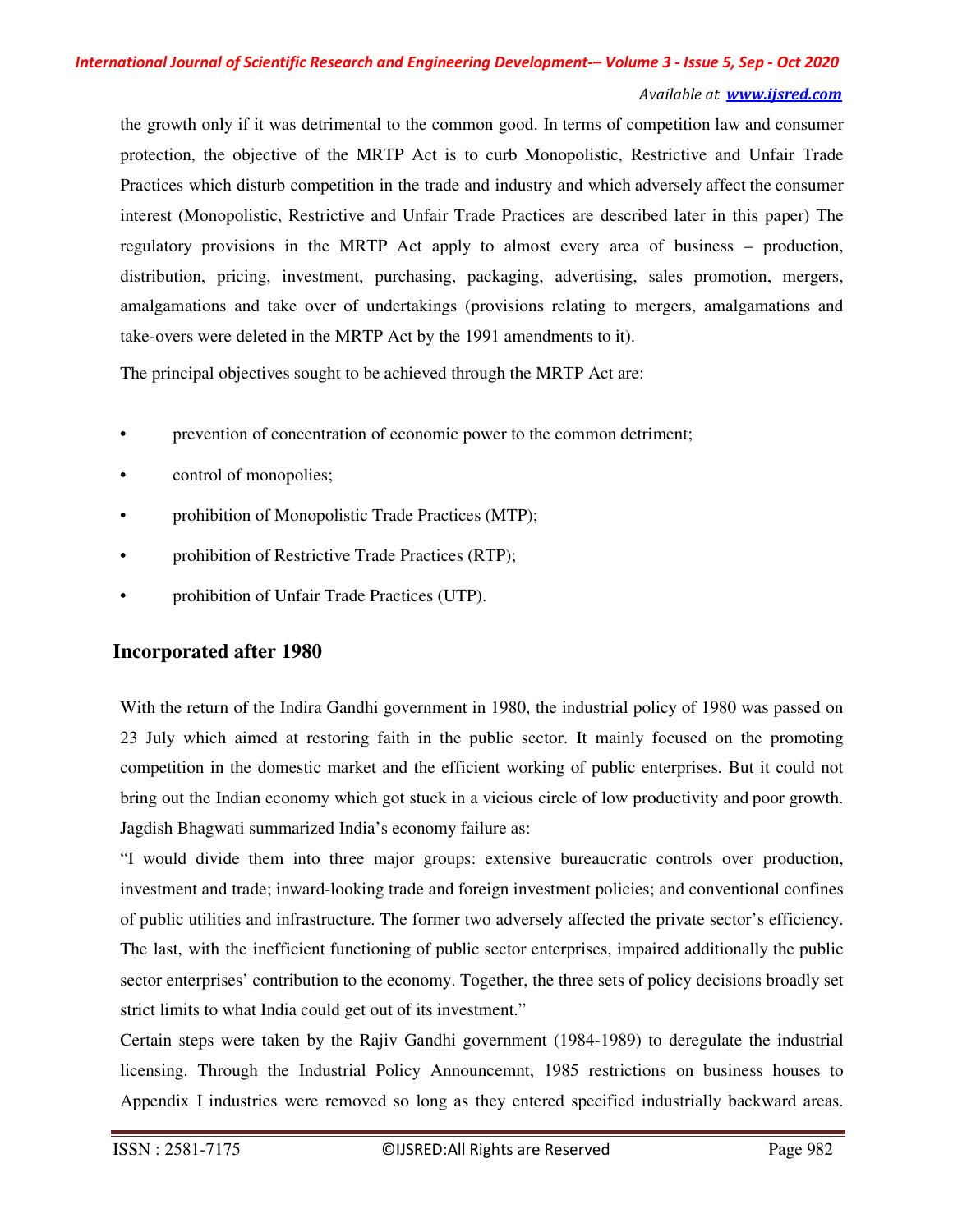the growth only if it was detrimental to the common good. In terms of competition law and consumer protection, the objective of the MRTP Act is to curb Monopolistic, Restrictive and Unfair Trade Practices which disturb competition in the trade and industry and which adversely affect the consumer interest (Monopolistic, Restrictive and Unfair Trade Practices are described later in this paper) The regulatory provisions in the MRTP Act apply to almost every area of business – production, distribution, pricing, investment, purchasing, packaging, advertising, sales promotion, mergers, amalgamations and take over of undertakings (provisions relating to mergers, amalgamations and take-overs were deleted in the MRTP Act by the 1991 amendments to it).

The principal objectives sought to be achieved through the MRTP Act are:

- prevention of concentration of economic power to the common detriment;
- control of monopolies;
- prohibition of Monopolistic Trade Practices (MTP);
- prohibition of Restrictive Trade Practices (RTP);
- prohibition of Unfair Trade Practices (UTP).

### **Incorporated after 1980**

With the return of the Indira Gandhi government in 1980, the industrial policy of 1980 was passed on 23 July which aimed at restoring faith in the public sector. It mainly focused on the promoting competition in the domestic market and the efficient working of public enterprises. But it could not bring out the Indian economy which got stuck in a vicious circle of low productivity and poor growth. Jagdish Bhagwati summarized India's economy failure as:

"I would divide them into three major groups: extensive bureaucratic controls over production, investment and trade; inward-looking trade and foreign investment policies; and conventional confines of public utilities and infrastructure. The former two adversely affected the private sector's efficiency. The last, with the inefficient functioning of public sector enterprises, impaired additionally the public sector enterprises' contribution to the economy. Together, the three sets of policy decisions broadly set strict limits to what India could get out of its investment."

Certain steps were taken by the Rajiv Gandhi government (1984-1989) to deregulate the industrial licensing. Through the Industrial Policy Announcemnt, 1985 restrictions on business houses to Appendix I industries were removed so long as they entered specified industrially backward areas.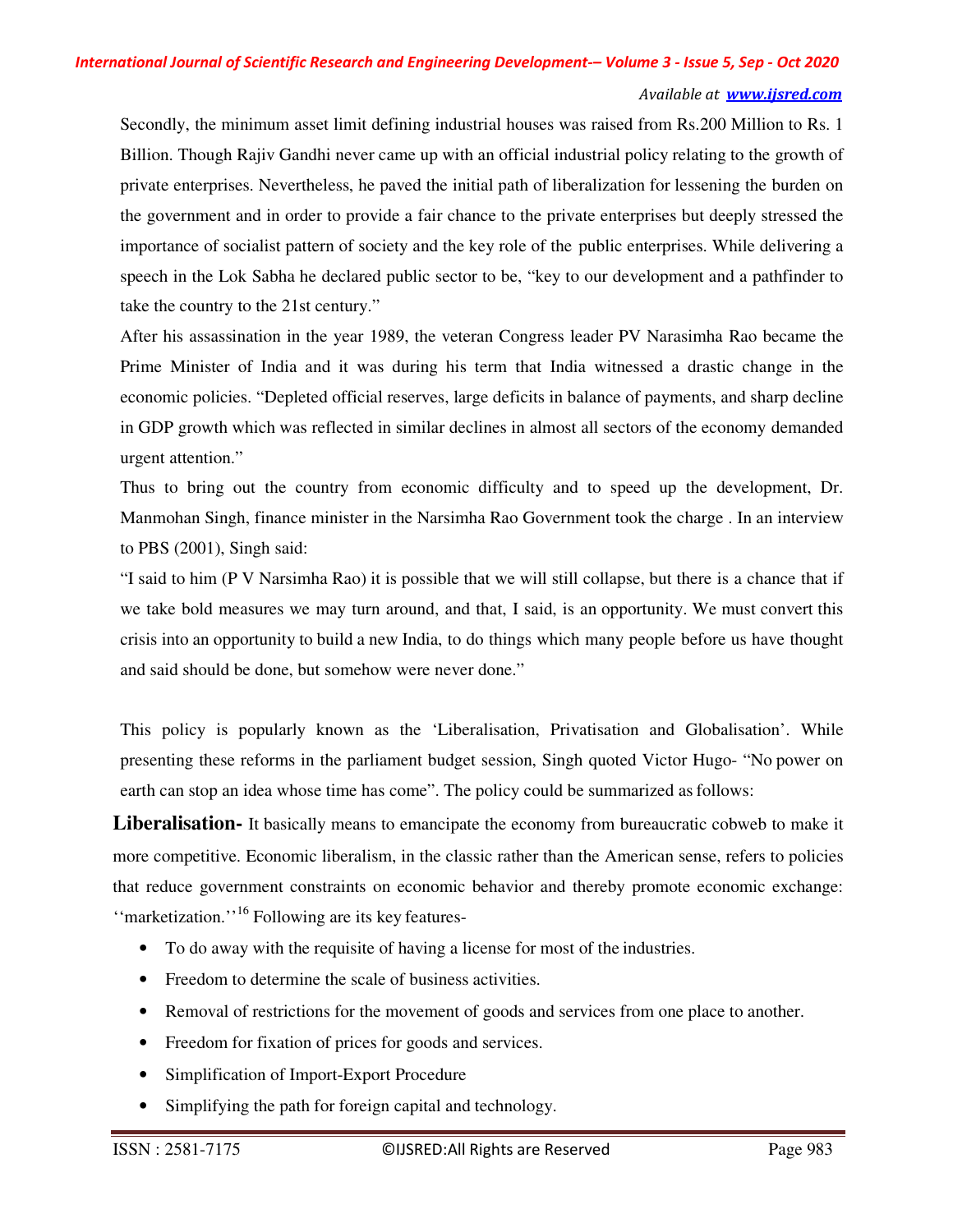#### *Available at www.ijsred.com*

Secondly, the minimum asset limit defining industrial houses was raised from Rs.200 Million to Rs. 1 Billion. Though Rajiv Gandhi never came up with an official industrial policy relating to the growth of private enterprises. Nevertheless, he paved the initial path of liberalization for lessening the burden on the government and in order to provide a fair chance to the private enterprises but deeply stressed the importance of socialist pattern of society and the key role of the public enterprises. While delivering a speech in the Lok Sabha he declared public sector to be, "key to our development and a pathfinder to take the country to the 21st century."

After his assassination in the year 1989, the veteran Congress leader PV Narasimha Rao became the Prime Minister of India and it was during his term that India witnessed a drastic change in the economic policies. "Depleted official reserves, large deficits in balance of payments, and sharp decline in GDP growth which was reflected in similar declines in almost all sectors of the economy demanded urgent attention."

Thus to bring out the country from economic difficulty and to speed up the development, Dr. Manmohan Singh, finance minister in the Narsimha Rao Government took the charge . In an interview to PBS (2001), Singh said:

"I said to him (P V Narsimha Rao) it is possible that we will still collapse, but there is a chance that if we take bold measures we may turn around, and that, I said, is an opportunity. We must convert this crisis into an opportunity to build a new India, to do things which many people before us have thought and said should be done, but somehow were never done."

This policy is popularly known as the 'Liberalisation, Privatisation and Globalisation'. While presenting these reforms in the parliament budget session, Singh quoted Victor Hugo- "No power on earth can stop an idea whose time has come". The policy could be summarized as follows:

**Liberalisation-** It basically means to emancipate the economy from bureaucratic cobweb to make it more competitive. Economic liberalism, in the classic rather than the American sense, refers to policies that reduce government constraints on economic behavior and thereby promote economic exchange: "marketization."<sup>16</sup> Following are its key features-

- To do away with the requisite of having a license for most of the industries.
- Freedom to determine the scale of business activities.
- Removal of restrictions for the movement of goods and services from one place to another.
- Freedom for fixation of prices for goods and services.
- Simplification of Import-Export Procedure
- Simplifying the path for foreign capital and technology.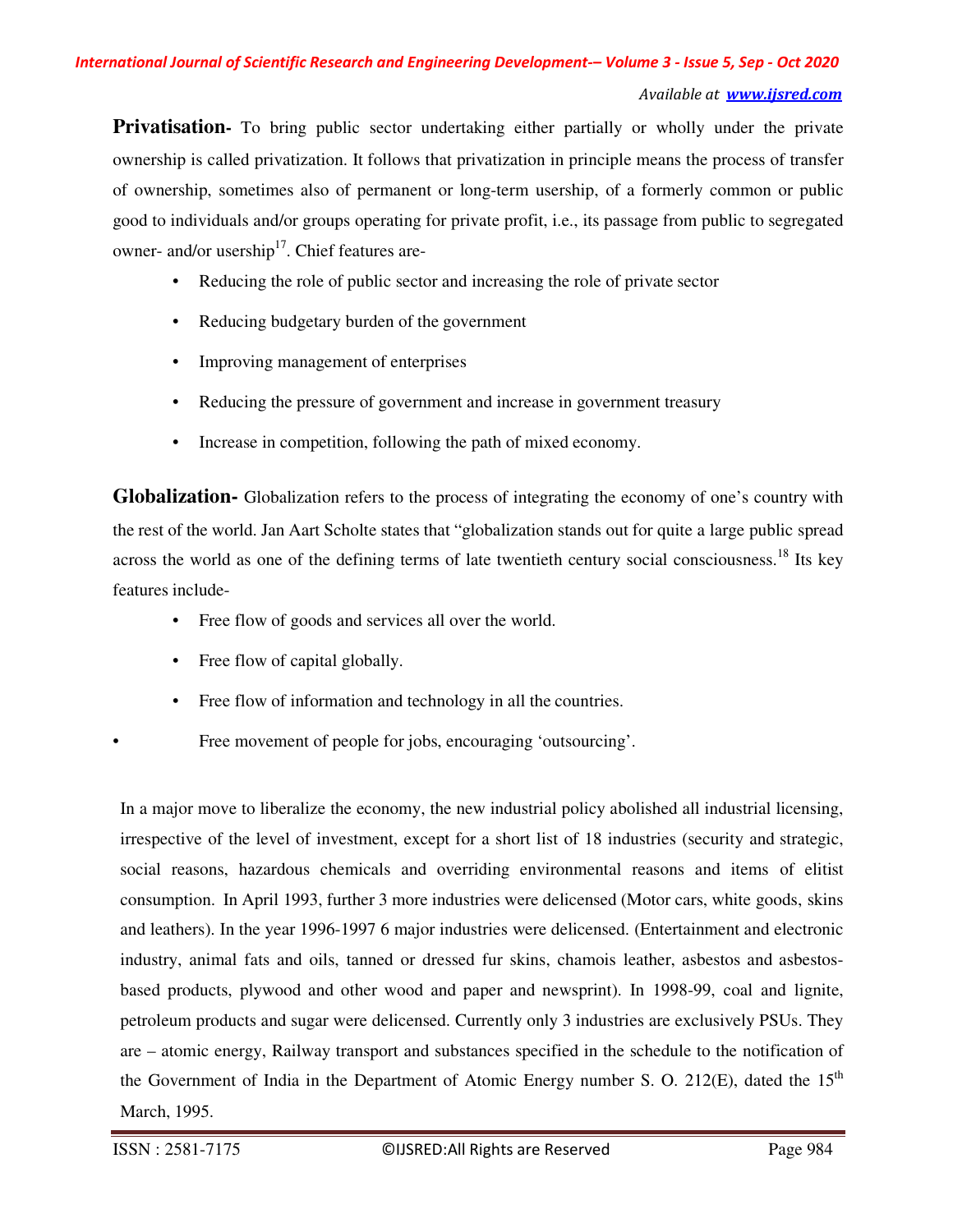**Privatisation** To bring public sector undertaking either partially or wholly under the private ownership is called privatization. It follows that privatization in principle means the process of transfer of ownership, sometimes also of permanent or long-term usership, of a formerly common or public good to individuals and/or groups operating for private profit, i.e., its passage from public to segregated owner- and/or usership $17$ . Chief features are-

- Reducing the role of public sector and increasing the role of private sector
- Reducing budgetary burden of the government
- Improving management of enterprises
- Reducing the pressure of government and increase in government treasury
- Increase in competition, following the path of mixed economy.

**Globalization-** Globalization refers to the process of integrating the economy of one's country with the rest of the world. Jan Aart Scholte states that "globalization stands out for quite a large public spread across the world as one of the defining terms of late twentieth century social consciousness.<sup>18</sup> Its key features include-

- Free flow of goods and services all over the world.
- Free flow of capital globally.
- Free flow of information and technology in all the countries.

Free movement of people for jobs, encouraging 'outsourcing'.

In a major move to liberalize the economy, the new industrial policy abolished all industrial licensing, irrespective of the level of investment, except for a short list of 18 industries (security and strategic, social reasons, hazardous chemicals and overriding environmental reasons and items of elitist consumption. In April 1993, further 3 more industries were delicensed (Motor cars, white goods, skins and leathers). In the year 1996-1997 6 major industries were delicensed. (Entertainment and electronic industry, animal fats and oils, tanned or dressed fur skins, chamois leather, asbestos and asbestosbased products, plywood and other wood and paper and newsprint). In 1998-99, coal and lignite, petroleum products and sugar were delicensed. Currently only 3 industries are exclusively PSUs. They are – atomic energy, Railway transport and substances specified in the schedule to the notification of the Government of India in the Department of Atomic Energy number S. O. 212(E), dated the  $15<sup>th</sup>$ March, 1995.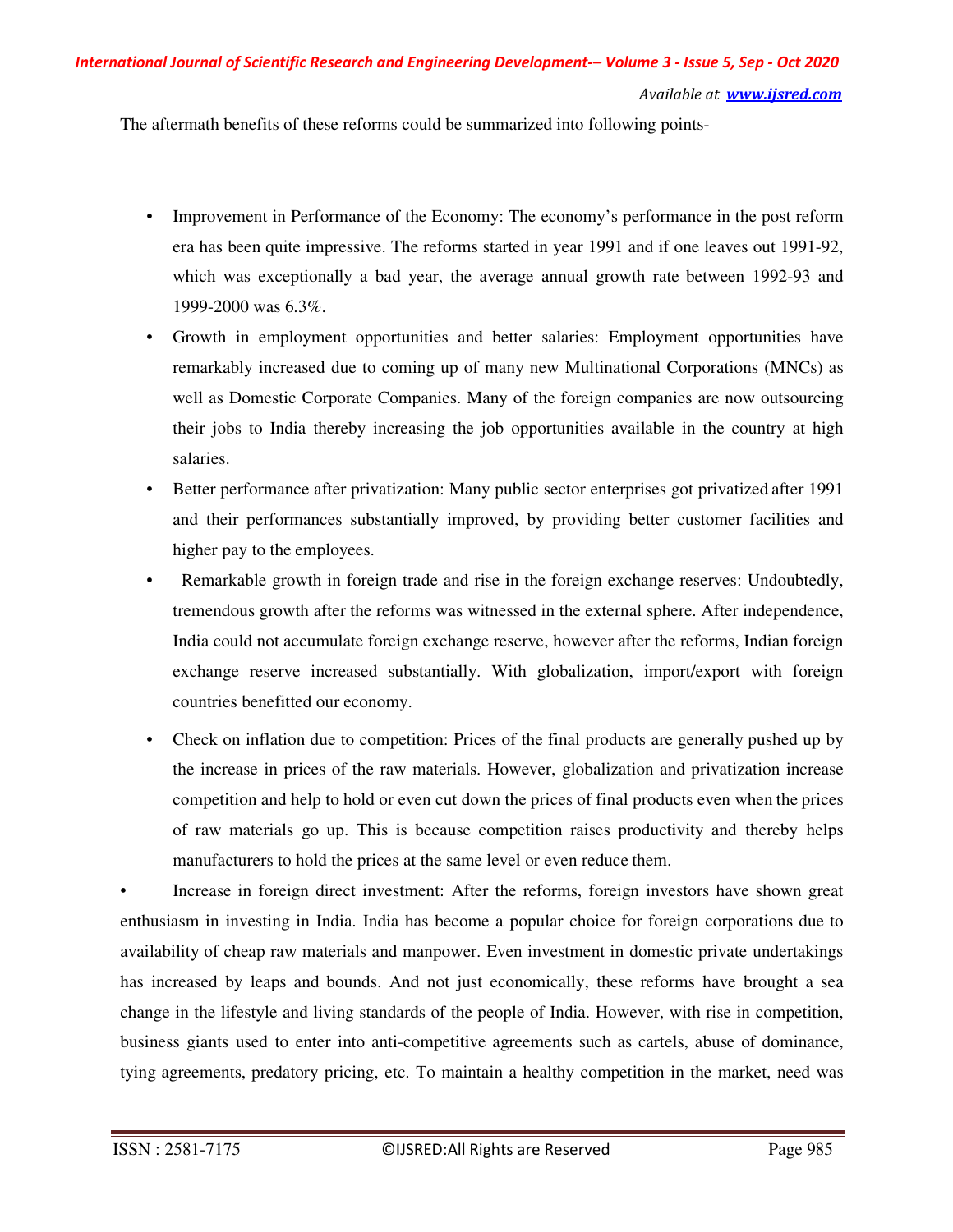The aftermath benefits of these reforms could be summarized into following points-

- Improvement in Performance of the Economy: The economy's performance in the post reform era has been quite impressive. The reforms started in year 1991 and if one leaves out 1991-92, which was exceptionally a bad year, the average annual growth rate between 1992-93 and 1999-2000 was 6.3%.
- Growth in employment opportunities and better salaries: Employment opportunities have remarkably increased due to coming up of many new Multinational Corporations (MNCs) as well as Domestic Corporate Companies. Many of the foreign companies are now outsourcing their jobs to India thereby increasing the job opportunities available in the country at high salaries.
- Better performance after privatization: Many public sector enterprises got privatized after 1991 and their performances substantially improved, by providing better customer facilities and higher pay to the employees.
- Remarkable growth in foreign trade and rise in the foreign exchange reserves: Undoubtedly, tremendous growth after the reforms was witnessed in the external sphere. After independence, India could not accumulate foreign exchange reserve, however after the reforms, Indian foreign exchange reserve increased substantially. With globalization, import/export with foreign countries benefitted our economy.
- Check on inflation due to competition: Prices of the final products are generally pushed up by the increase in prices of the raw materials. However, globalization and privatization increase competition and help to hold or even cut down the prices of final products even when the prices of raw materials go up. This is because competition raises productivity and thereby helps manufacturers to hold the prices at the same level or even reduce them.

• Increase in foreign direct investment: After the reforms, foreign investors have shown great enthusiasm in investing in India. India has become a popular choice for foreign corporations due to availability of cheap raw materials and manpower. Even investment in domestic private undertakings has increased by leaps and bounds. And not just economically, these reforms have brought a sea change in the lifestyle and living standards of the people of India. However, with rise in competition, business giants used to enter into anti-competitive agreements such as cartels, abuse of dominance, tying agreements, predatory pricing, etc. To maintain a healthy competition in the market, need was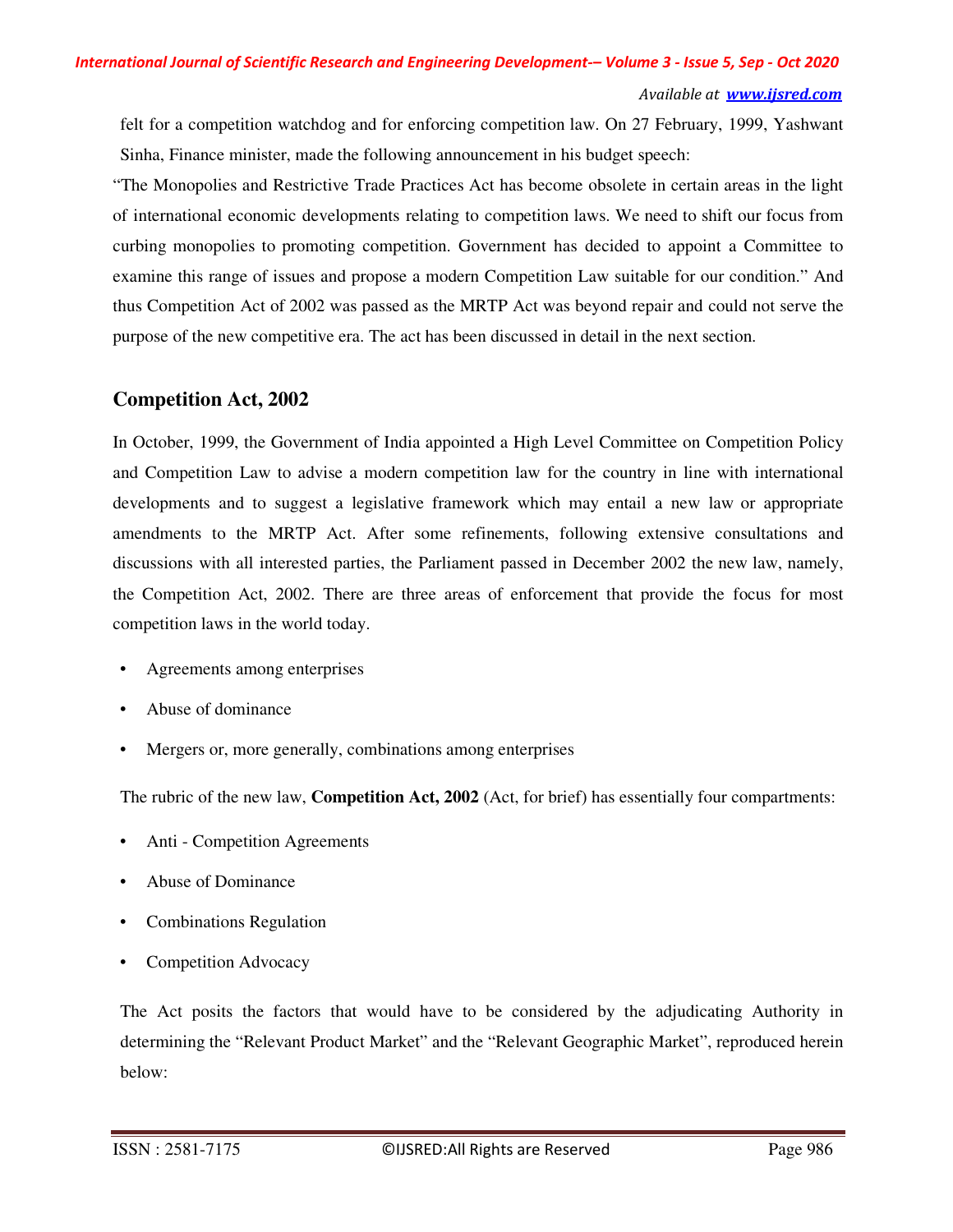felt for a competition watchdog and for enforcing competition law. On 27 February, 1999, Yashwant Sinha, Finance minister, made the following announcement in his budget speech:

"The Monopolies and Restrictive Trade Practices Act has become obsolete in certain areas in the light of international economic developments relating to competition laws. We need to shift our focus from curbing monopolies to promoting competition. Government has decided to appoint a Committee to examine this range of issues and propose a modern Competition Law suitable for our condition." And thus Competition Act of 2002 was passed as the MRTP Act was beyond repair and could not serve the purpose of the new competitive era. The act has been discussed in detail in the next section.

### **Competition Act, 2002**

In October, 1999, the Government of India appointed a High Level Committee on Competition Policy and Competition Law to advise a modern competition law for the country in line with international developments and to suggest a legislative framework which may entail a new law or appropriate amendments to the MRTP Act. After some refinements, following extensive consultations and discussions with all interested parties, the Parliament passed in December 2002 the new law, namely, the Competition Act, 2002. There are three areas of enforcement that provide the focus for most competition laws in the world today.

- Agreements among enterprises
- Abuse of dominance
- Mergers or, more generally, combinations among enterprises

The rubric of the new law, **Competition Act, 2002** (Act, for brief) has essentially four compartments:

- Anti Competition Agreements
- Abuse of Dominance
- Combinations Regulation
- Competition Advocacy

The Act posits the factors that would have to be considered by the adjudicating Authority in determining the "Relevant Product Market" and the "Relevant Geographic Market", reproduced herein below: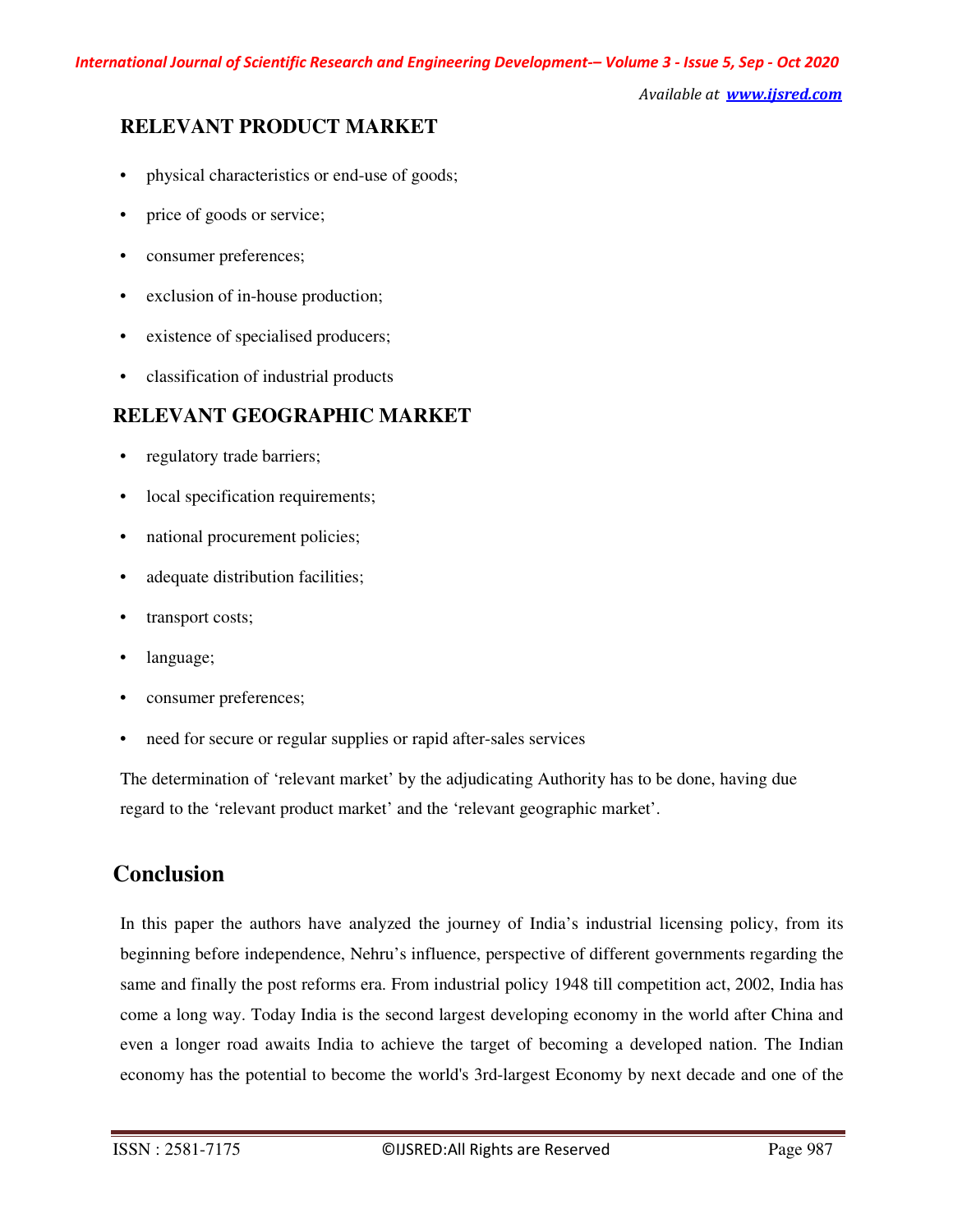### **RELEVANT PRODUCT MARKET**

- physical characteristics or end-use of goods;
- price of goods or service;
- consumer preferences;
- exclusion of in-house production;
- existence of specialised producers;
- classification of industrial products

### **RELEVANT GEOGRAPHIC MARKET**

- regulatory trade barriers;
- local specification requirements;
- national procurement policies;
- adequate distribution facilities;
- transport costs;
- language;
- consumer preferences;
- need for secure or regular supplies or rapid after-sales services

The determination of 'relevant market' by the adjudicating Authority has to be done, having due regard to the 'relevant product market' and the 'relevant geographic market'.

### **Conclusion**

In this paper the authors have analyzed the journey of India's industrial licensing policy, from its beginning before independence, Nehru's influence, perspective of different governments regarding the same and finally the post reforms era. From industrial policy 1948 till competition act, 2002, India has come a long way. Today India is the second largest developing economy in the world after China and even a longer road awaits India to achieve the target of becoming a developed nation. The Indian economy has the potential to become the world's 3rd-largest Economy by next decade and one of the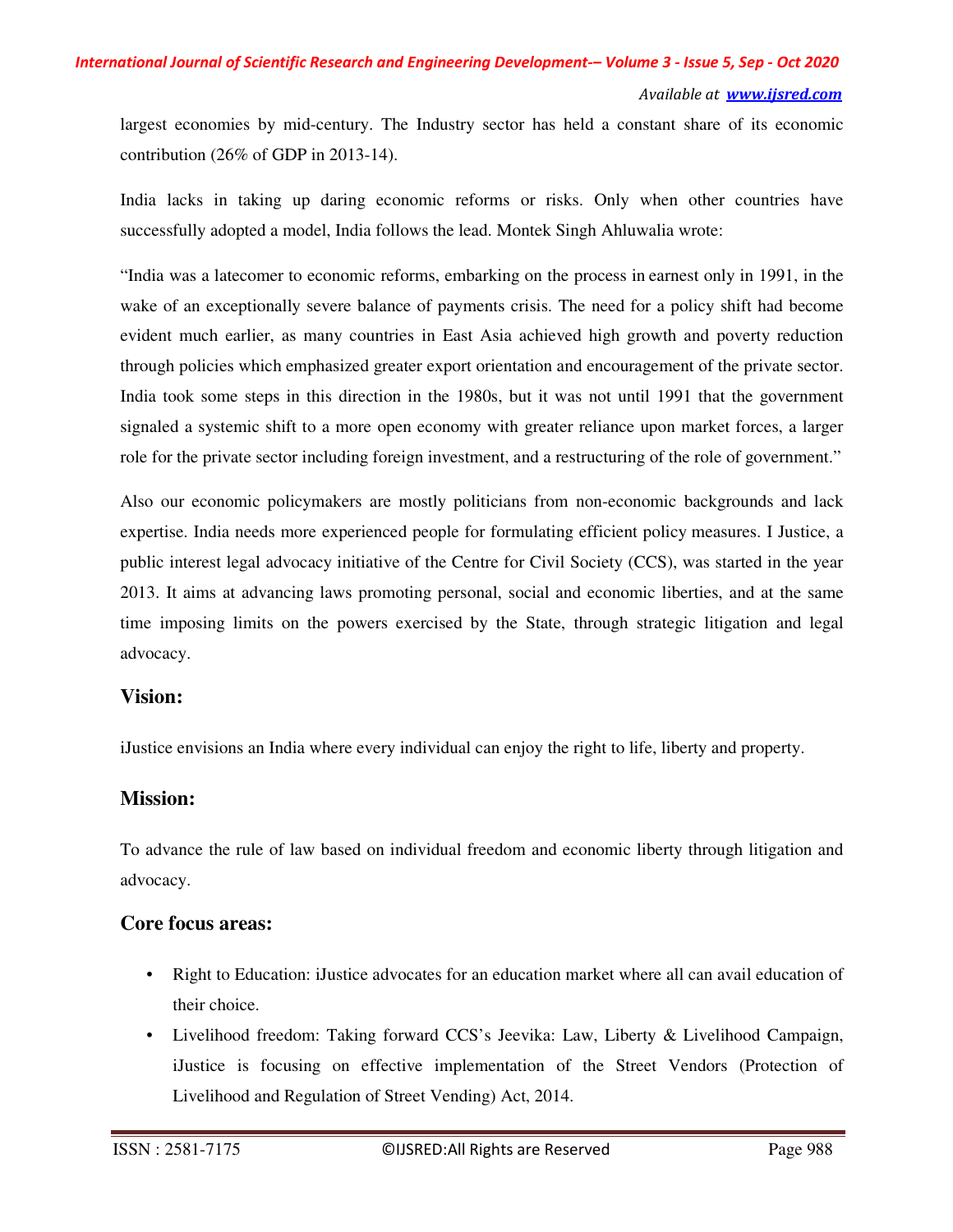largest economies by mid-century. The Industry sector has held a constant share of its economic contribution (26% of GDP in 2013-14).

India lacks in taking up daring economic reforms or risks. Only when other countries have successfully adopted a model, India follows the lead. Montek Singh Ahluwalia wrote:

"India was a latecomer to economic reforms, embarking on the process in earnest only in 1991, in the wake of an exceptionally severe balance of payments crisis. The need for a policy shift had become evident much earlier, as many countries in East Asia achieved high growth and poverty reduction through policies which emphasized greater export orientation and encouragement of the private sector. India took some steps in this direction in the 1980s, but it was not until 1991 that the government signaled a systemic shift to a more open economy with greater reliance upon market forces, a larger role for the private sector including foreign investment, and a restructuring of the role of government."

Also our economic policymakers are mostly politicians from non-economic backgrounds and lack expertise. India needs more experienced people for formulating efficient policy measures. I Justice, a public interest legal advocacy initiative of the Centre for Civil Society (CCS), was started in the year 2013. It aims at advancing laws promoting personal, social and economic liberties, and at the same time imposing limits on the powers exercised by the State, through strategic litigation and legal advocacy.

#### **Vision:**

iJustice envisions an India where every individual can enjoy the right to life, liberty and property.

### **Mission:**

To advance the rule of law based on individual freedom and economic liberty through litigation and advocacy.

### **Core focus areas:**

- Right to Education: iJustice advocates for an education market where all can avail education of their choice.
- Livelihood freedom: Taking forward CCS's Jeevika: Law, Liberty & Livelihood Campaign, iJustice is focusing on effective implementation of the Street Vendors (Protection of Livelihood and Regulation of Street Vending) Act, 2014.